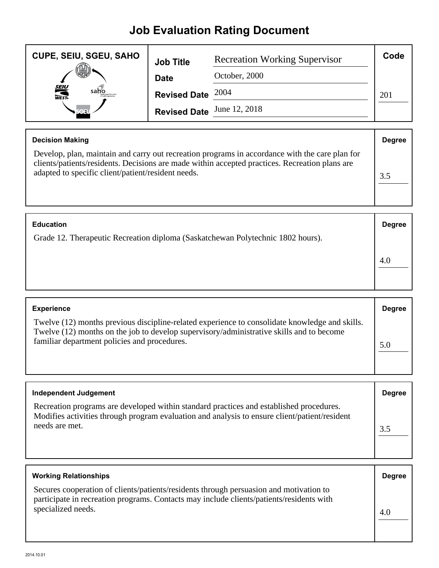## **Job Evaluation Rating Document**

| <b>CUPE, SEIU, SGEU, SAHO</b> | <b>Job Title</b>           | <b>Recreation Working Supervisor</b> | Code |
|-------------------------------|----------------------------|--------------------------------------|------|
|                               | <b>Date</b>                | October, 2000                        |      |
| <b>SEIU</b><br>WEST-<br>saho  | Revised Date $2004$        |                                      | 201  |
|                               | Revised Date June 12, 2018 |                                      |      |

| <b>Decision Making</b>                                                                                                                                                                                                                                 | <b>Degree</b> |
|--------------------------------------------------------------------------------------------------------------------------------------------------------------------------------------------------------------------------------------------------------|---------------|
| Develop, plan, maintain and carry out recreation programs in accordance with the care plan for<br>clients/patients/residents. Decisions are made within accepted practices. Recreation plans are<br>adapted to specific client/patient/resident needs. | 3.5           |
|                                                                                                                                                                                                                                                        |               |
|                                                                                                                                                                                                                                                        |               |

| <b>Education</b>                                                                | <b>Degree</b> |
|---------------------------------------------------------------------------------|---------------|
| Grade 12. Therapeutic Recreation diploma (Saskatchewan Polytechnic 1802 hours). |               |
|                                                                                 | 4.0           |

| <b>Experience</b>                                                                                                                                                                                                                          | <b>Degree</b> |
|--------------------------------------------------------------------------------------------------------------------------------------------------------------------------------------------------------------------------------------------|---------------|
| Twelve (12) months previous discipline-related experience to consolidate knowledge and skills.<br>Twelve (12) months on the job to develop supervisory/administrative skills and to become<br>familiar department policies and procedures. | 5.0           |

| <b>Independent Judgement</b>                                                                                                                                                             | <b>Degree</b> |
|------------------------------------------------------------------------------------------------------------------------------------------------------------------------------------------|---------------|
| Recreation programs are developed within standard practices and established procedures.<br>Modifies activities through program evaluation and analysis to ensure client/patient/resident |               |
| needs are met.                                                                                                                                                                           | 3.5           |
|                                                                                                                                                                                          |               |

| <b>Working Relationships</b>                                                                                                                                                                             | <b>Degree</b> |
|----------------------------------------------------------------------------------------------------------------------------------------------------------------------------------------------------------|---------------|
| Secures cooperation of clients/patients/residents through persuasion and motivation to<br>participate in recreation programs. Contacts may include clients/patients/residents with<br>specialized needs. | 4.0           |